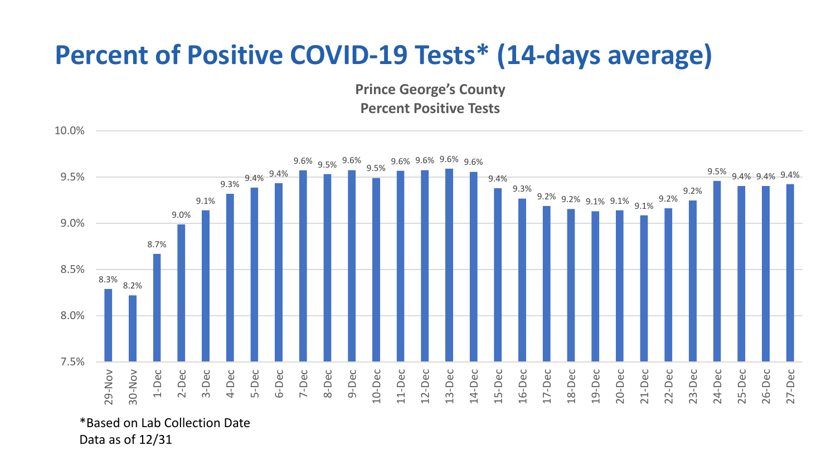## **Percent of Positive COVID-19 Tests\* (14-days average)**

**Prince George's County Percent Positive Tests**



Data as of 12/31

10.0%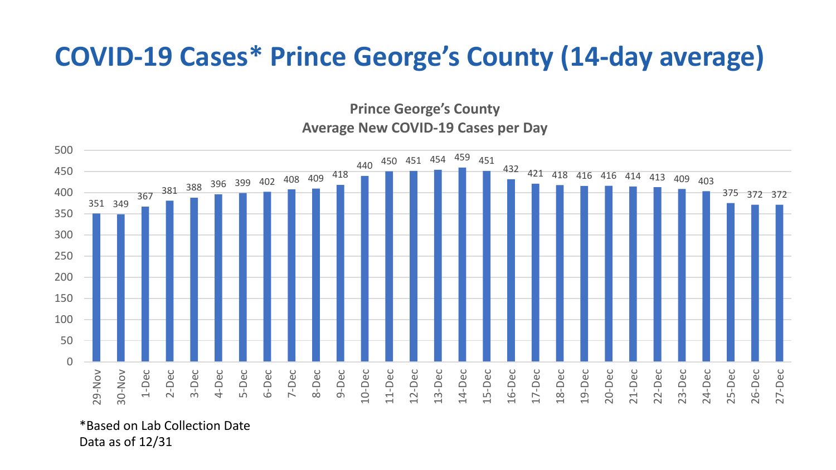## **COVID-19 Cases\* Prince George's County (14-day average)**

**Prince George's County Average New COVID-19 Cases per Day**



\*Based on Lab Collection Date Data as of 12/31